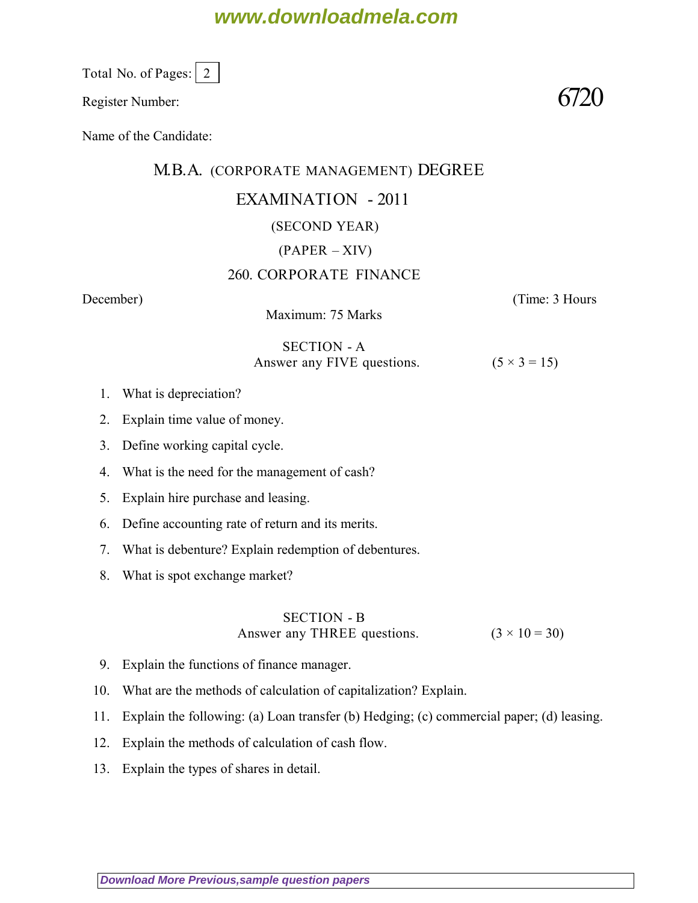## **www.downloadmela.com**

Total No. of Pages:  $\vert 2 \vert$ 

Register Number:  $6720$ 

Name of the Candidate:

### M.B.A. (CORPORATE MANAGEMENT) DEGREE

## EXAMINATION - 2011

#### (SECOND YEAR)

## $(PAPER - XIV)$

### 260. CORPORATE FINANCE

Maximum: 75 Marks

*December*) (*Time: 3 Hours*

#### SECTION - A Answer any FIVE questions.  $(5 \times 3 = 15)$

- 1. What is depreciation?
- 2. Explain time value of money.
- 3. Define working capital cycle.
- 4. What is the need for the management of cash?
- 5. Explain hire purchase and leasing.
- 6. Define accounting rate of return and its merits.
- 7. What is debenture? Explain redemption of debentures.
- 8. What is spot exchange market?

#### SECTION - B Answer any THREE questions.  $(3 \times 10 = 30)$

- 9. Explain the functions of finance manager.
- 10. What are the methods of calculation of capitalization? Explain.
- 11. Explain the following: (a) Loan transfer (b) Hedging; (c) commercial paper; (d) leasing.
- 12. Explain the methods of calculation of cash flow.
- 13. Explain the types of shares in detail.